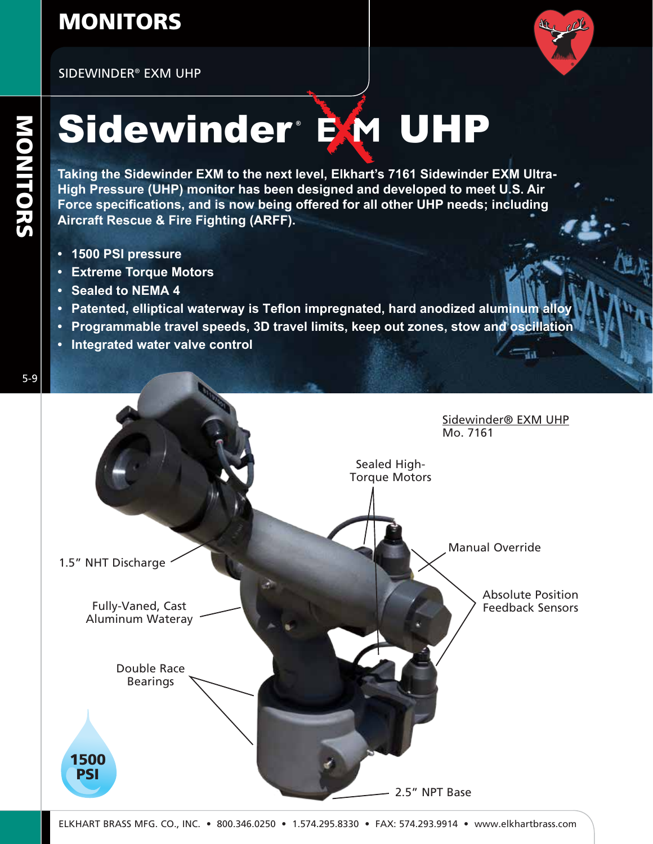### MONITORS

SIDEWINDER® EXM UHP



āа

# Sidewinder EM UHP

**Taking the Sidewinder EXM to the next level, Elkhart's 7161 Sidewinder EXM Ultra-High Pressure (UHP) monitor has been designed and developed to meet U.S. Air Force specifications, and is now being offered for all other UHP needs; including Aircraft Rescue & Fire Fighting (ARFF).**

- **• 1500 PSI pressure**
- **• Extreme Torque Motors**
- **• Sealed to NEMA 4**
- **• Patented, elliptical waterway is Teflon impregnated, hard anodized aluminum alloy**
- **• Programmable travel speeds, 3D travel limits, keep out zones, stow and oscillation**
- **• Integrated water valve control**



5-9